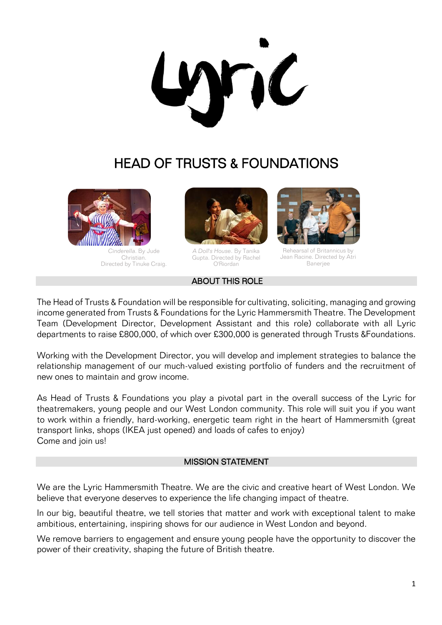nC

# HEAD OF TRUSTS & FOUNDATIONS



*Cinderella.* By Jude Christian. Directed by Tinuke Craig.



*A Doll's House*. By Tanika Gupta. Directed by Rachel O'Riordan

#### ABOUT THIS ROLE



Rehearsal of Britannicus by Jean Racine. Directed by Atri Banerjee

The Head of Trusts & Foundation will be responsible for cultivating, soliciting, managing and growing income generated from Trusts & Foundations for the Lyric Hammersmith Theatre. The Development Team (Development Director, Development Assistant and this role) collaborate with all Lyric departments to raise £800,000, of which over £300,000 is generated through Trusts &Foundations.

Working with the Development Director, you will develop and implement strategies to balance the relationship management of our much-valued existing portfolio of funders and the recruitment of new ones to maintain and grow income.

As Head of Trusts & Foundations you play a pivotal part in the overall success of the Lyric for theatremakers, young people and our West London community. This role will suit you if you want to work within a friendly, hard-working, energetic team right in the heart of Hammersmith (great transport links, shops (IKEA just opened) and loads of cafes to enjoy) Come and join us!

#### MISSION STATEMENT

We are the Lyric Hammersmith Theatre. We are the civic and creative heart of West London. We believe that everyone deserves to experience the life changing impact of theatre.

In our big, beautiful theatre, we tell stories that matter and work with exceptional talent to make ambitious, entertaining, inspiring shows for our audience in West London and beyond.

We remove barriers to engagement and ensure young people have the opportunity to discover the power of their creativity, shaping the future of British theatre.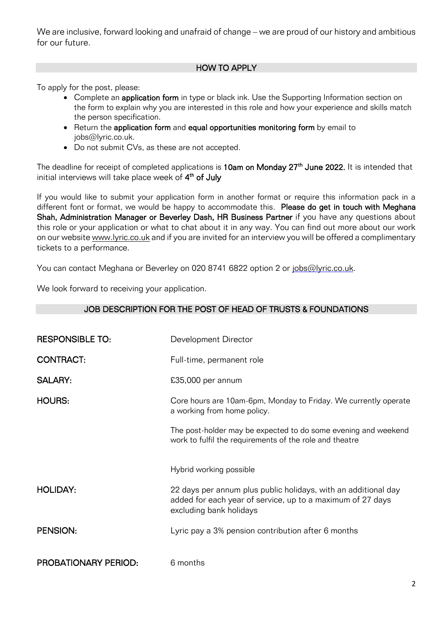We are inclusive, forward looking and unafraid of change – we are proud of our history and ambitious for our future.

## HOW TO APPLY

To apply for the post, please:

- Complete an **application form** in type or black ink. Use the Supporting Information section on the form to explain why you are interested in this role and how your experience and skills match the person specification.
- Return the application form and equal opportunities monitoring form by email to iobs@lyric.co.uk.
- Do not submit CVs, as these are not accepted.

The deadline for receipt of completed applications is 10am on Monday 27<sup>th</sup> June 2022. It is intended that initial interviews will take place week of  $4^{\text{th}}$  **of July** 

If you would like to submit your application form in another format or require this information pack in a different font or format, we would be happy to accommodate this. Please do get in touch with Meghana Shah, Administration Manager or Beverley Dash, HR Business Partner if you have any questions about this role or your application or what to chat about it in any way. You can find out more about our work on our website [www.lyric.co.uk](http://www.lyric.co.uk/) and if you are invited for an interview you will be offered a complimentary tickets to a performance.

JOB DESCRIPTION FOR THE POST OF HEAD OF TRUSTS & FOUNDATIONS

You can contact Meghana or Beverley on 020 8741 6822 option 2 or [jobs@lyric.co.uk.](mailto:jobs@lyric.co.uk)

We look forward to receiving your application.

| <b>RESPONSIBLE TO:</b>      | Development Director                                                                                                                                    |
|-----------------------------|---------------------------------------------------------------------------------------------------------------------------------------------------------|
| <b>CONTRACT:</b>            | Full-time, permanent role                                                                                                                               |
| <b>SALARY:</b>              | £35,000 per annum                                                                                                                                       |
| <b>HOURS:</b>               | Core hours are 10am-6pm, Monday to Friday. We currently operate<br>a working from home policy.                                                          |
|                             | The post-holder may be expected to do some evening and weekend<br>work to fulfil the requirements of the role and theatre                               |
|                             | Hybrid working possible                                                                                                                                 |
| <b>HOLIDAY:</b>             | 22 days per annum plus public holidays, with an additional day<br>added for each year of service, up to a maximum of 27 days<br>excluding bank holidays |
| <b>PENSION:</b>             | Lyric pay a 3% pension contribution after 6 months                                                                                                      |
| <b>PROBATIONARY PERIOD:</b> | 6 months                                                                                                                                                |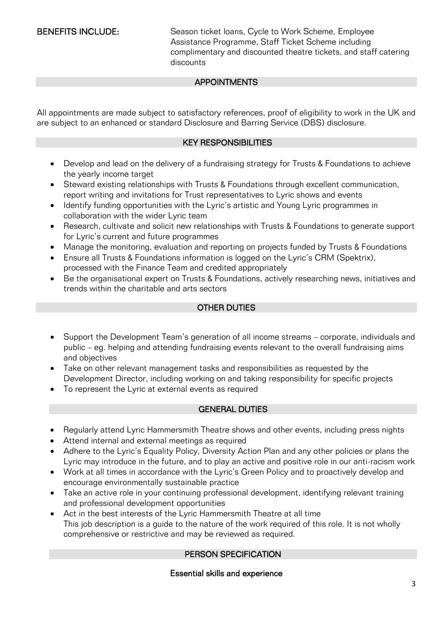BENEFITS INCLUDE: Season ticket loans, Cycle to Work Scheme, Employee Assistance Programme, Staff Ticket Scheme including complimentary and discounted theatre tickets, and staff catering discounts

### **APPOINTMENTS**

All appointments are made subject to satisfactory references, proof of eligibility to work in the UK and are subject to an enhanced or standard Disclosure and Barring Service (DBS) disclosure.

### KEY RESPONSIBILITIES

- Develop and lead on the delivery of a fundraising strategy for Trusts & Foundations to achieve the yearly income target
- Steward existing relationships with Trusts & Foundations through excellent communication, report writing and invitations for Trust representatives to Lyric shows and events
- Identify funding opportunities with the Lyric's artistic and Young Lyric programmes in collaboration with the wider Lyric team
- Research, cultivate and solicit new relationships with Trusts & Foundations to generate support for Lyric's current and future programmes
- Manage the monitoring, evaluation and reporting on projects funded by Trusts & Foundations
- Ensure all Trusts & Foundations information is logged on the Lyric's CRM (Spektrix), processed with the Finance Team and credited appropriately
- Be the organisational expert on Trusts & Foundations, actively researching news, initiatives and trends within the charitable and arts sectors

### OTHER DUTIES

- Support the Development Team's generation of all income streams corporate, individuals and public – eg. helping and attending fundraising events relevant to the overall fundraising aims and objectives
- Take on other relevant management tasks and responsibilities as requested by the Development Director, including working on and taking responsibility for specific projects
- To represent the Lyric at external events as required

### GENERAL DUTIES

- Regularly attend Lyric Hammersmith Theatre shows and other events, including press nights
- Attend internal and external meetings as required
- Adhere to the Lyric's Equality Policy, Diversity Action Plan and any other policies or plans the Lyric may introduce in the future, and to play an active and positive role in our anti-racism work
- Work at all times in accordance with the Lyric's Green Policy and to proactively develop and encourage environmentally sustainable practice
- Take an active role in your continuing professional development, identifying relevant training and professional development opportunities
- Act in the best interests of the Lyric Hammersmith Theatre at all time This job description is a guide to the nature of the work required of this role. It is not wholly comprehensive or restrictive and may be reviewed as required.

### PERSON SPECIFICATION

### Essential skills and experience